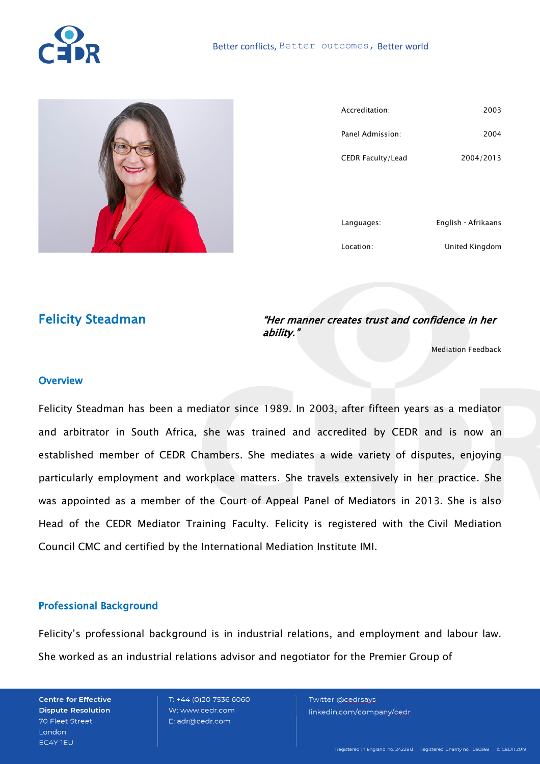



| Accreditation:    | 2003                      |
|-------------------|---------------------------|
| Panel Admission:  | 2004                      |
| CEDR Faculty/Lead | 2004/2013                 |
|                   |                           |
|                   |                           |
| Languages:        | English $\cdot$ Afrikaans |
| Location:         | United Kingdom            |

# Felicity Steadman

"Her manner creates trust and confidence in her ability."

Mediation Feedback

#### **Overview**

Felicity Steadman has been a mediator since 1989. In 2003, after fifteen years as a mediator and arbitrator in South Africa, she was trained and accredited by CEDR and is now an established member of CEDR Chambers. She mediates a wide variety of disputes, enjoying particularly employment and workplace matters. She travels extensively in her practice. She was appointed as a member of the Court of Appeal Panel of Mediators in 2013. She is also Head of the CEDR Mediator Training Faculty. Felicity is registered with the Civil Mediation Council CMC and certified by the International Mediation Institute IMI.

## Professional Background

Felicity's professional background is in industrial relations, and employment and labour law. She worked as an industrial relations advisor and negotiator for the Premier Group of

**Centre for Effective Dispute Resolution** 70 Fleet Street London EC4Y TEU

T: +44 (0)20 7536 6060 W: www.cedr.com E: adr@cedr.com

Twitter @cedrsays linkedin.com/company/cedr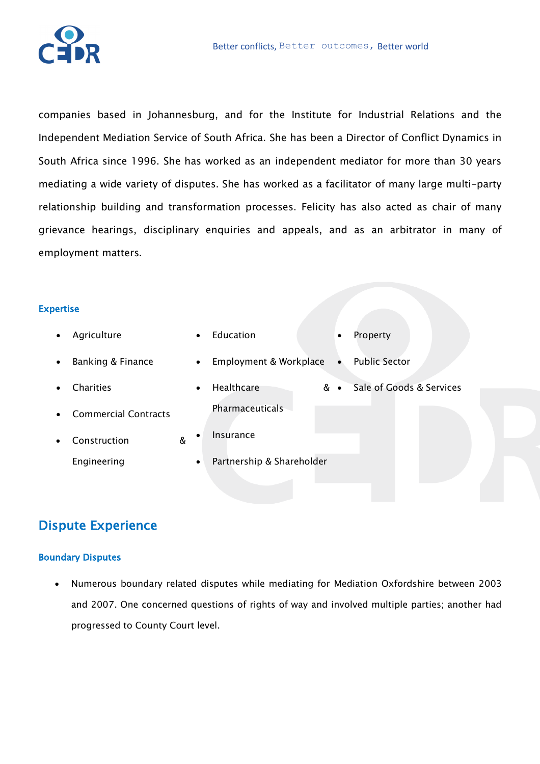

companies based in Johannesburg, and for the Institute for Industrial Relations and the Independent Mediation Service of South Africa. She has been a Director of Conflict Dynamics in South Africa since 1996. She has worked as an independent mediator for more than 30 years mediating a wide variety of disputes. She has worked as a facilitator of many large multi-party relationship building and transformation processes. Felicity has also acted as chair of many grievance hearings, disciplinary enquiries and appeals, and as an arbitrator in many of employment matters.

#### Expertise

| ٠         | Agriculture                 |   | $\bullet$ | Education                 | $\bullet$ | Property                 |
|-----------|-----------------------------|---|-----------|---------------------------|-----------|--------------------------|
| $\bullet$ | Banking & Finance           |   | $\bullet$ | Employment & Workplace    |           | <b>Public Sector</b>     |
|           | <b>Charities</b>            |   | $\bullet$ | Healthcare                | & ∙       | Sale of Goods & Services |
|           | <b>Commercial Contracts</b> |   |           | <b>Pharmaceuticals</b>    |           |                          |
|           | Construction                | & | $\bullet$ | Insurance                 |           |                          |
|           | Engineering                 |   | $\bullet$ | Partnership & Shareholder |           |                          |
|           |                             |   |           |                           |           |                          |

# Dispute Experience

#### Boundary Disputes

• Numerous boundary related disputes while mediating for Mediation Oxfordshire between 2003 and 2007. One concerned questions of rights of way and involved multiple parties; another had progressed to County Court level.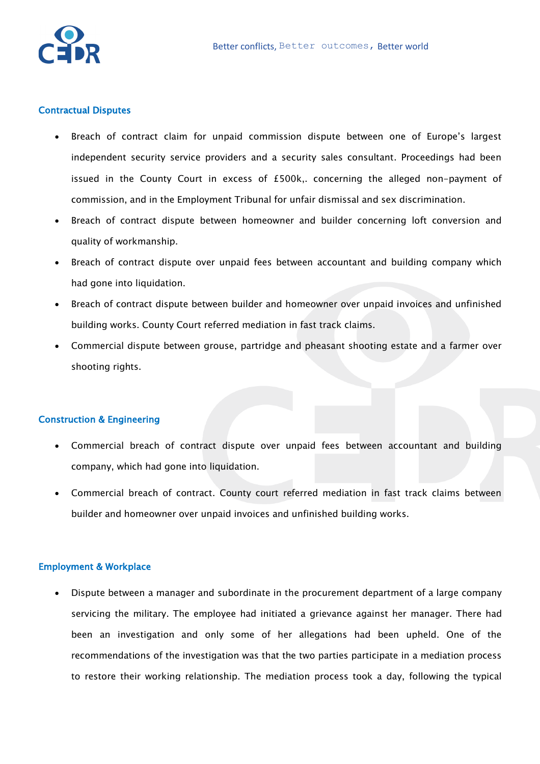

#### Contractual Disputes

- Breach of contract claim for unpaid commission dispute between one of Europe's largest independent security service providers and a security sales consultant. Proceedings had been issued in the County Court in excess of £500k,. concerning the alleged non-payment of commission, and in the Employment Tribunal for unfair dismissal and sex discrimination.
- Breach of contract dispute between homeowner and builder concerning loft conversion and quality of workmanship.
- Breach of contract dispute over unpaid fees between accountant and building company which had gone into liquidation.
- Breach of contract dispute between builder and homeowner over unpaid invoices and unfinished building works. County Court referred mediation in fast track claims.
- Commercial dispute between grouse, partridge and pheasant shooting estate and a farmer over shooting rights.

#### Construction & Engineering

- Commercial breach of contract dispute over unpaid fees between accountant and building company, which had gone into liquidation.
- Commercial breach of contract. County court referred mediation in fast track claims between builder and homeowner over unpaid invoices and unfinished building works.

#### Employment & Workplace

• Dispute between a manager and subordinate in the procurement department of a large company servicing the military. The employee had initiated a grievance against her manager. There had been an investigation and only some of her allegations had been upheld. One of the recommendations of the investigation was that the two parties participate in a mediation process to restore their working relationship. The mediation process took a day, following the typical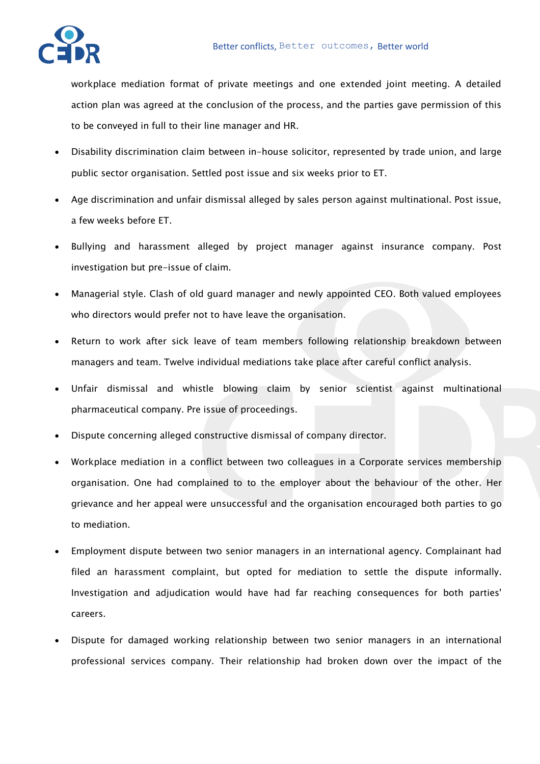workplace mediation format of private meetings and one extended joint meeting. A detailed action plan was agreed at the conclusion of the process, and the parties gave permission of this to be conveyed in full to their line manager and HR.

- Disability discrimination claim between in-house solicitor, represented by trade union, and large public sector organisation. Settled post issue and six weeks prior to ET.
- Age discrimination and unfair dismissal alleged by sales person against multinational. Post issue, a few weeks before ET.
- Bullying and harassment alleged by project manager against insurance company. Post investigation but pre-issue of claim.
- Managerial style. Clash of old guard manager and newly appointed CEO. Both valued employees who directors would prefer not to have leave the organisation.
- Return to work after sick leave of team members following relationship breakdown between managers and team. Twelve individual mediations take place after careful conflict analysis.
- Unfair dismissal and whistle blowing claim by senior scientist against multinational pharmaceutical company. Pre issue of proceedings.
- Dispute concerning alleged constructive dismissal of company director.
- Workplace mediation in a conflict between two colleagues in a Corporate services membership organisation. One had complained to to the employer about the behaviour of the other. Her grievance and her appeal were unsuccessful and the organisation encouraged both parties to go to mediation.
- Employment dispute between two senior managers in an international agency. Complainant had filed an harassment complaint, but opted for mediation to settle the dispute informally. Investigation and adjudication would have had far reaching consequences for both parties' careers.
- Dispute for damaged working relationship between two senior managers in an international professional services company. Their relationship had broken down over the impact of the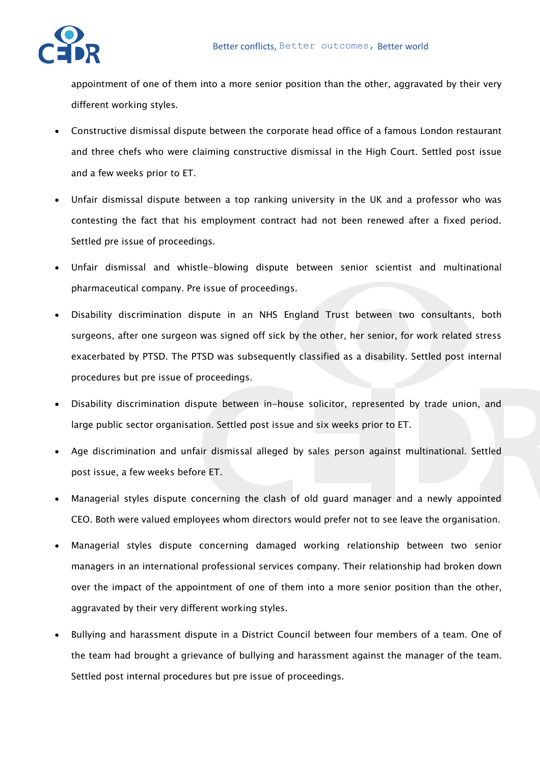

appointment of one of them into a more senior position than the other, aggravated by their very different working styles.

- Constructive dismissal dispute between the corporate head office of a famous London restaurant and three chefs who were claiming constructive dismissal in the High Court. Settled post issue and a few weeks prior to ET.
- Unfair dismissal dispute between a top ranking university in the UK and a professor who was contesting the fact that his employment contract had not been renewed after a fixed period. Settled pre issue of proceedings.
- Unfair dismissal and whistle-blowing dispute between senior scientist and multinational pharmaceutical company. Pre issue of proceedings.
- Disability discrimination dispute in an NHS England Trust between two consultants, both surgeons, after one surgeon was signed off sick by the other, her senior, for work related stress exacerbated by PTSD. The PTSD was subsequently classified as a disability. Settled post internal procedures but pre issue of proceedings.
- Disability discrimination dispute between in-house solicitor, represented by trade union, and large public sector organisation. Settled post issue and six weeks prior to ET.
- Age discrimination and unfair dismissal alleged by sales person against multinational. Settled post issue, a few weeks before ET.
- Managerial styles dispute concerning the clash of old guard manager and a newly appointed CEO. Both were valued employees whom directors would prefer not to see leave the organisation.
- Managerial styles dispute concerning damaged working relationship between two senior managers in an international professional services company. Their relationship had broken down over the impact of the appointment of one of them into a more senior position than the other, aggravated by their very different working styles.
- Bullying and harassment dispute in a District Council between four members of a team. One of the team had brought a grievance of bullying and harassment against the manager of the team. Settled post internal procedures but pre issue of proceedings.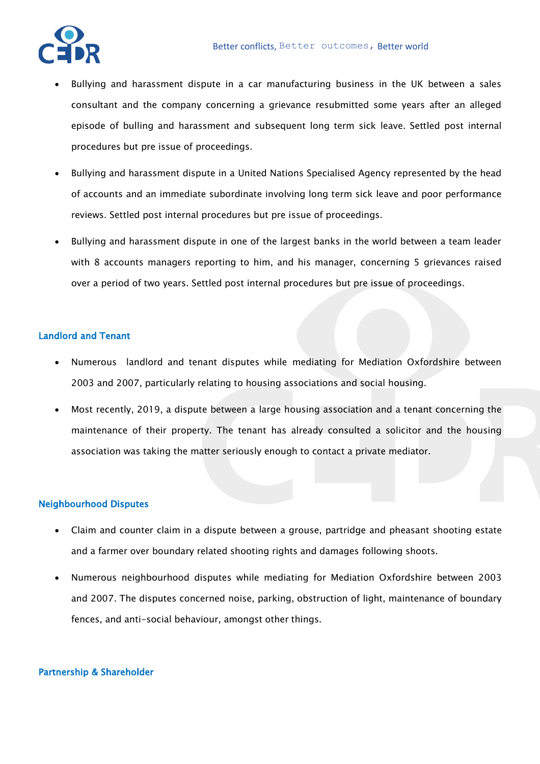

- Bullying and harassment dispute in a car manufacturing business in the UK between a sales consultant and the company concerning a grievance resubmitted some years after an alleged episode of bulling and harassment and subsequent long term sick leave. Settled post internal procedures but pre issue of proceedings.
- Bullying and harassment dispute in a United Nations Specialised Agency represented by the head of accounts and an immediate subordinate involving long term sick leave and poor performance reviews. Settled post internal procedures but pre issue of proceedings.
- Bullying and harassment dispute in one of the largest banks in the world between a team leader with 8 accounts managers reporting to him, and his manager, concerning 5 grievances raised over a period of two years. Settled post internal procedures but pre issue of proceedings.

#### Landlord and Tenant

- Numerous landlord and tenant disputes while mediating for Mediation Oxfordshire between 2003 and 2007, particularly relating to housing associations and social housing.
- Most recently, 2019, a dispute between a large housing association and a tenant concerning the maintenance of their property. The tenant has already consulted a solicitor and the housing association was taking the matter seriously enough to contact a private mediator.

## Neighbourhood Disputes

- Claim and counter claim in a dispute between a grouse, partridge and pheasant shooting estate and a farmer over boundary related shooting rights and damages following shoots.
- Numerous neighbourhood disputes while mediating for Mediation Oxfordshire between 2003 and 2007. The disputes concerned noise, parking, obstruction of light, maintenance of boundary fences, and anti-social behaviour, amongst other things.

## Partnership & Shareholder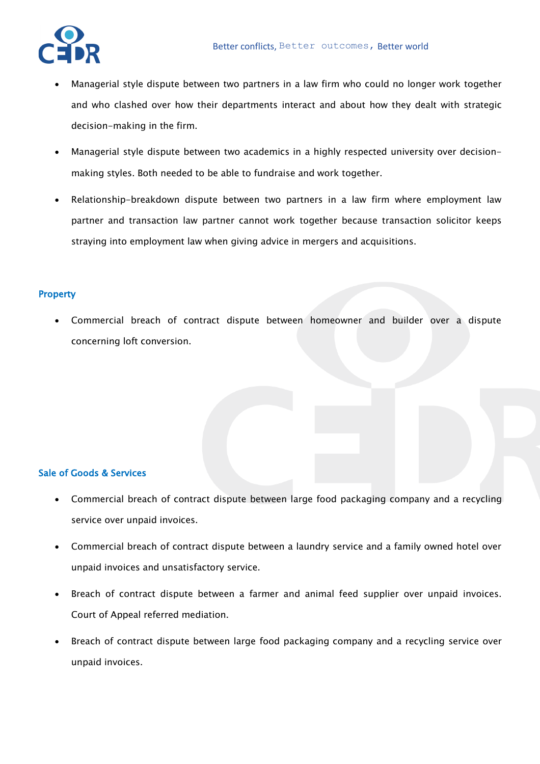

- Managerial style dispute between two partners in a law firm who could no longer work together and who clashed over how their departments interact and about how they dealt with strategic decision-making in the firm.
- Managerial style dispute between two academics in a highly respected university over decisionmaking styles. Both needed to be able to fundraise and work together.
- Relationship-breakdown dispute between two partners in a law firm where employment law partner and transaction law partner cannot work together because transaction solicitor keeps straying into employment law when giving advice in mergers and acquisitions.

## **Property**

• Commercial breach of contract dispute between homeowner and builder over a dispute concerning loft conversion.

## Sale of Goods & Services

- Commercial breach of contract dispute between large food packaging company and a recycling service over unpaid invoices.
- Commercial breach of contract dispute between a laundry service and a family owned hotel over unpaid invoices and unsatisfactory service.
- Breach of contract dispute between a farmer and animal feed supplier over unpaid invoices. Court of Appeal referred mediation.
- Breach of contract dispute between large food packaging company and a recycling service over unpaid invoices.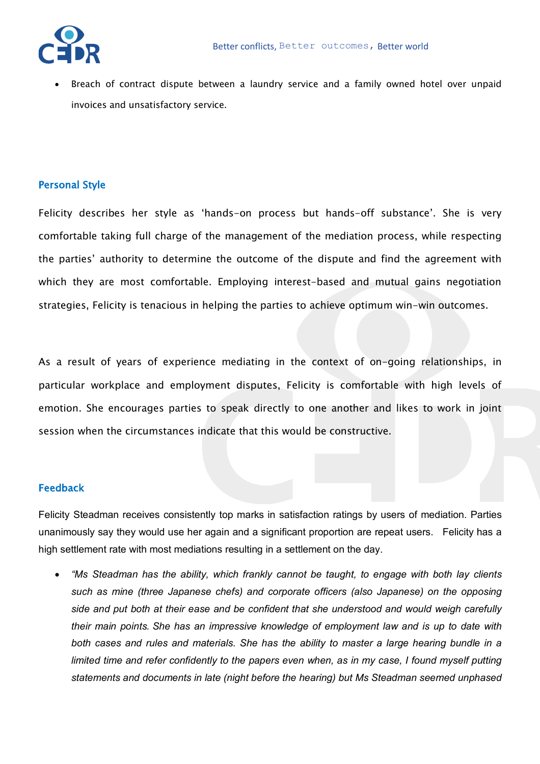Breach of contract dispute between a laundry service and a family owned hotel over unpaid invoices and unsatisfactory service.

## Personal Style

Felicity describes her style as 'hands-on process but hands-off substance'. She is very comfortable taking full charge of the management of the mediation process, while respecting the parties' authority to determine the outcome of the dispute and find the agreement with which they are most comfortable. Employing interest-based and mutual gains negotiation strategies, Felicity is tenacious in helping the parties to achieve optimum win-win outcomes.

As a result of years of experience mediating in the context of on-going relationships, in particular workplace and employment disputes, Felicity is comfortable with high levels of emotion. She encourages parties to speak directly to one another and likes to work in joint session when the circumstances indicate that this would be constructive.

## Feedback

Felicity Steadman receives consistently top marks in satisfaction ratings by users of mediation. Parties unanimously say they would use her again and a significant proportion are repeat users. Felicity has a high settlement rate with most mediations resulting in a settlement on the day.

• *"Ms Steadman has the ability, which frankly cannot be taught, to engage with both lay clients such as mine (three Japanese chefs) and corporate officers (also Japanese) on the opposing side and put both at their ease and be confident that she understood and would weigh carefully their main points. She has an impressive knowledge of employment law and is up to date with both cases and rules and materials. She has the ability to master a large hearing bundle in a limited time and refer confidently to the papers even when, as in my case, I found myself putting statements and documents in late (night before the hearing) but Ms Steadman seemed unphased*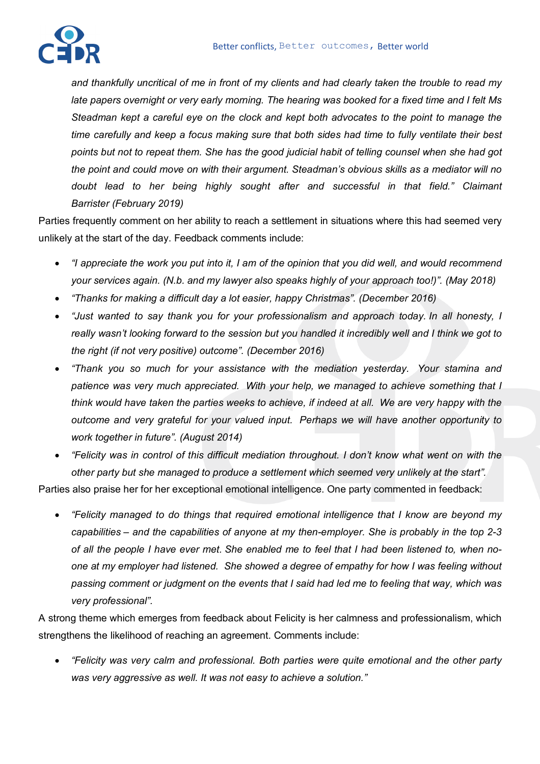

*and thankfully uncritical of me in front of my clients and had clearly taken the trouble to read my late papers overnight or very early morning. The hearing was booked for a fixed time and I felt Ms Steadman kept a careful eye on the clock and kept both advocates to the point to manage the time carefully and keep a focus making sure that both sides had time to fully ventilate their best points but not to repeat them. She has the good judicial habit of telling counsel when she had got the point and could move on with their argument. Steadman's obvious skills as a mediator will no doubt lead to her being highly sought after and successful in that field." Claimant Barrister (February 2019)*

Parties frequently comment on her ability to reach a settlement in situations where this had seemed very unlikely at the start of the day. Feedback comments include:

- *"I appreciate the work you put into it, I am of the opinion that you did well, and would recommend your services again. (N.b. and my lawyer also speaks highly of your approach too!)". (May 2018)*
- *"Thanks for making a difficult day a lot easier, happy Christmas". (December 2016)*
- *"Just wanted to say thank you for your professionalism and approach today. In all honesty, I really wasn't looking forward to the session but you handled it incredibly well and I think we got to the right (if not very positive) outcome". (December 2016)*
- *"Thank you so much for your assistance with the mediation yesterday. Your stamina and patience was very much appreciated. With your help, we managed to achieve something that I think would have taken the parties weeks to achieve, if indeed at all. We are very happy with the outcome and very grateful for your valued input. Perhaps we will have another opportunity to work together in future". (August 2014)*
- *"Felicity was in control of this difficult mediation throughout. I don't know what went on with the other party but she managed to produce a settlement which seemed very unlikely at the start".*

Parties also praise her for her exceptional emotional intelligence. One party commented in feedback:

• *"Felicity managed to do things that required emotional intelligence that I know are beyond my capabilities – and the capabilities of anyone at my then-employer. She is probably in the top 2-3 of all the people I have ever met. She enabled me to feel that I had been listened to, when noone at my employer had listened. She showed a degree of empathy for how I was feeling without passing comment or judgment on the events that I said had led me to feeling that way, which was very professional".*

A strong theme which emerges from feedback about Felicity is her calmness and professionalism, which strengthens the likelihood of reaching an agreement. Comments include:

• *"Felicity was very calm and professional. Both parties were quite emotional and the other party was very aggressive as well. It was not easy to achieve a solution."*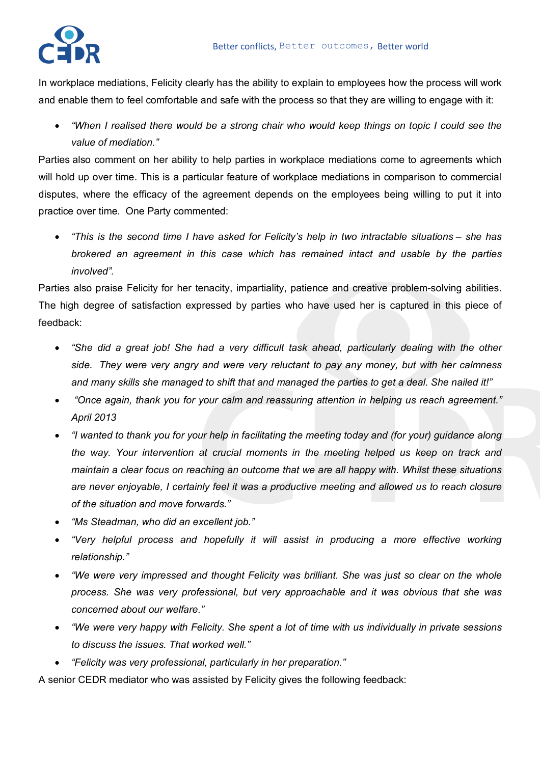

In workplace mediations, Felicity clearly has the ability to explain to employees how the process will work and enable them to feel comfortable and safe with the process so that they are willing to engage with it:

• *"When I realised there would be a strong chair who would keep things on topic I could see the value of mediation."*

Parties also comment on her ability to help parties in workplace mediations come to agreements which will hold up over time. This is a particular feature of workplace mediations in comparison to commercial disputes, where the efficacy of the agreement depends on the employees being willing to put it into practice over time. One Party commented:

• *"This is the second time I have asked for Felicity's help in two intractable situations – she has brokered an agreement in this case which has remained intact and usable by the parties involved".*

Parties also praise Felicity for her tenacity, impartiality, patience and creative problem-solving abilities. The high degree of satisfaction expressed by parties who have used her is captured in this piece of feedback:

- *"She did a great job! She had a very difficult task ahead, particularly dealing with the other side. They were very angry and were very reluctant to pay any money, but with her calmness and many skills she managed to shift that and managed the parties to get a deal. She nailed it!"*
- *"Once again, thank you for your calm and reassuring attention in helping us reach agreement." April 2013*
- *"I wanted to thank you for your help in facilitating the meeting today and (for your) guidance along the way. Your intervention at crucial moments in the meeting helped us keep on track and maintain a clear focus on reaching an outcome that we are all happy with. Whilst these situations are never enjoyable, I certainly feel it was a productive meeting and allowed us to reach closure of the situation and move forwards."*
- *"Ms Steadman, who did an excellent job."*
- *"Very helpful process and hopefully it will assist in producing a more effective working relationship."*
- *"We were very impressed and thought Felicity was brilliant. She was just so clear on the whole process. She was very professional, but very approachable and it was obvious that she was concerned about our welfare."*
- *"We were very happy with Felicity. She spent a lot of time with us individually in private sessions to discuss the issues. That worked well."*
- *"Felicity was very professional, particularly in her preparation."*

A senior CEDR mediator who was assisted by Felicity gives the following feedback: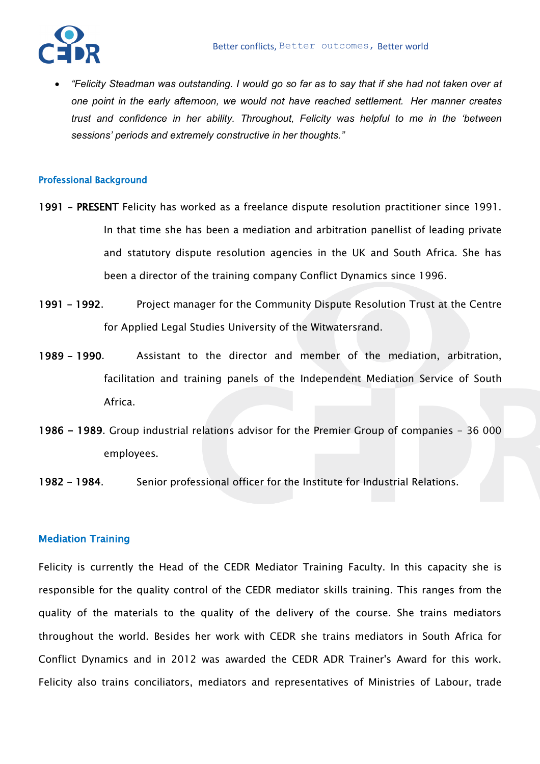

• *"Felicity Steadman was outstanding. I would go so far as to say that if she had not taken over at one point in the early afternoon, we would not have reached settlement. Her manner creates trust and confidence in her ability. Throughout, Felicity was helpful to me in the 'between sessions' periods and extremely constructive in her thoughts."*

#### Professional Background

- 1991 PRESENT Felicity has worked as a freelance dispute resolution practitioner since 1991. In that time she has been a mediation and arbitration panellist of leading private and statutory dispute resolution agencies in the UK and South Africa. She has been a director of the training company Conflict Dynamics since 1996.
- 1991 1992. Project manager for the Community Dispute Resolution Trust at the Centre for Applied Legal Studies University of the Witwatersrand.
- 1989 1990. Assistant to the director and member of the mediation, arbitration, facilitation and training panels of the Independent Mediation Service of South Africa.
- 1986 1989. Group industrial relations advisor for the Premier Group of companies 36 000 employees.
- 1982 1984. Senior professional officer for the Institute for Industrial Relations.

## Mediation Training

Felicity is currently the Head of the CEDR Mediator Training Faculty. In this capacity she is responsible for the quality control of the CEDR mediator skills training. This ranges from the quality of the materials to the quality of the delivery of the course. She trains mediators throughout the world. Besides her work with CEDR she trains mediators in South Africa for Conflict Dynamics and in 2012 was awarded the CEDR ADR Trainer's Award for this work. Felicity also trains conciliators, mediators and representatives of Ministries of Labour, trade